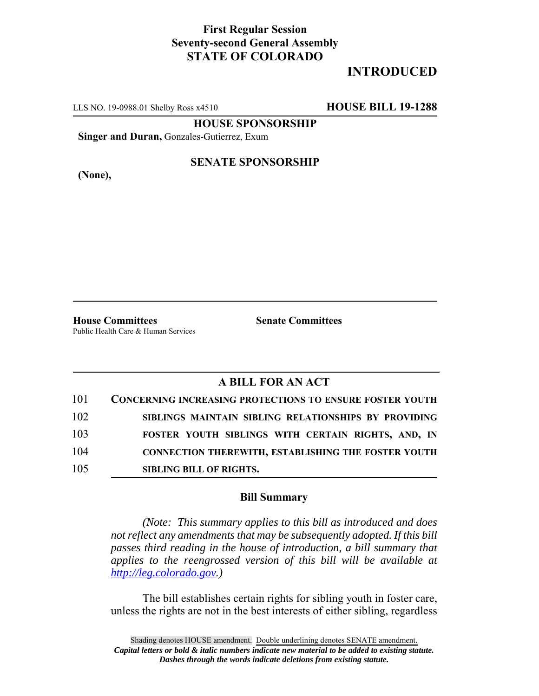## **First Regular Session Seventy-second General Assembly STATE OF COLORADO**

# **INTRODUCED**

LLS NO. 19-0988.01 Shelby Ross x4510 **HOUSE BILL 19-1288**

**HOUSE SPONSORSHIP**

**Singer and Duran,** Gonzales-Gutierrez, Exum

**(None),**

#### **SENATE SPONSORSHIP**

**House Committees Senate Committees** Public Health Care & Human Services

## **A BILL FOR AN ACT**

| 101 | <b>CONCERNING INCREASING PROTECTIONS TO ENSURE FOSTER YOUTH</b> |
|-----|-----------------------------------------------------------------|
| 102 | SIBLINGS MAINTAIN SIBLING RELATIONSHIPS BY PROVIDING            |
| 103 | FOSTER YOUTH SIBLINGS WITH CERTAIN RIGHTS, AND, IN              |
| 104 | <b>CONNECTION THEREWITH, ESTABLISHING THE FOSTER YOUTH</b>      |
| 105 | <b>SIBLING BILL OF RIGHTS.</b>                                  |

### **Bill Summary**

*(Note: This summary applies to this bill as introduced and does not reflect any amendments that may be subsequently adopted. If this bill passes third reading in the house of introduction, a bill summary that applies to the reengrossed version of this bill will be available at http://leg.colorado.gov.)*

The bill establishes certain rights for sibling youth in foster care, unless the rights are not in the best interests of either sibling, regardless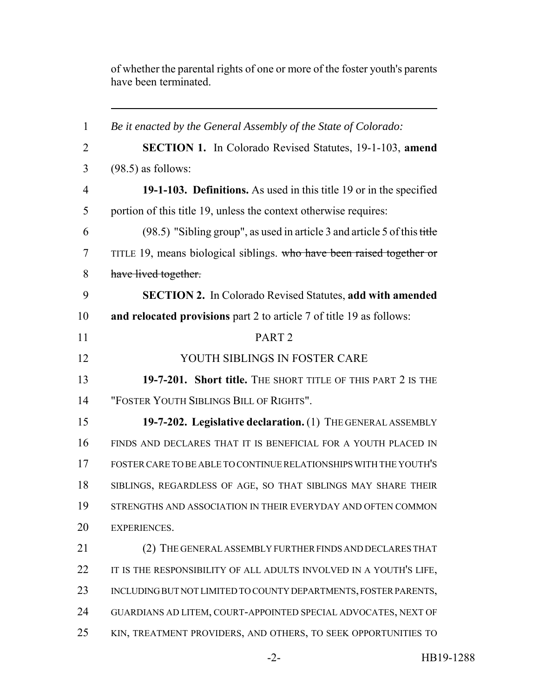of whether the parental rights of one or more of the foster youth's parents have been terminated.

 *Be it enacted by the General Assembly of the State of Colorado:* **SECTION 1.** In Colorado Revised Statutes, 19-1-103, **amend** (98.5) as follows: **19-1-103. Definitions.** As used in this title 19 or in the specified portion of this title 19, unless the context otherwise requires: (98.5) "Sibling group", as used in article 3 and article 5 of this title 7 TITLE 19, means biological siblings. who have been raised together or have lived together. **SECTION 2.** In Colorado Revised Statutes, **add with amended and relocated provisions** part 2 to article 7 of title 19 as follows: PART 2 12 YOUTH SIBLINGS IN FOSTER CARE **19-7-201. Short title.** The short title of this part 2 is the "FOSTER YOUTH SIBLINGS BILL OF RIGHTS". **19-7-202. Legislative declaration.** (1) THE GENERAL ASSEMBLY FINDS AND DECLARES THAT IT IS BENEFICIAL FOR A YOUTH PLACED IN FOSTER CARE TO BE ABLE TO CONTINUE RELATIONSHIPS WITH THE YOUTH'S SIBLINGS, REGARDLESS OF AGE, SO THAT SIBLINGS MAY SHARE THEIR STRENGTHS AND ASSOCIATION IN THEIR EVERYDAY AND OFTEN COMMON EXPERIENCES. (2) THE GENERAL ASSEMBLY FURTHER FINDS AND DECLARES THAT 22 IT IS THE RESPONSIBILITY OF ALL ADULTS INVOLVED IN A YOUTH'S LIFE, INCLUDING BUT NOT LIMITED TO COUNTY DEPARTMENTS, FOSTER PARENTS, GUARDIANS AD LITEM, COURT-APPOINTED SPECIAL ADVOCATES, NEXT OF KIN, TREATMENT PROVIDERS, AND OTHERS, TO SEEK OPPORTUNITIES TO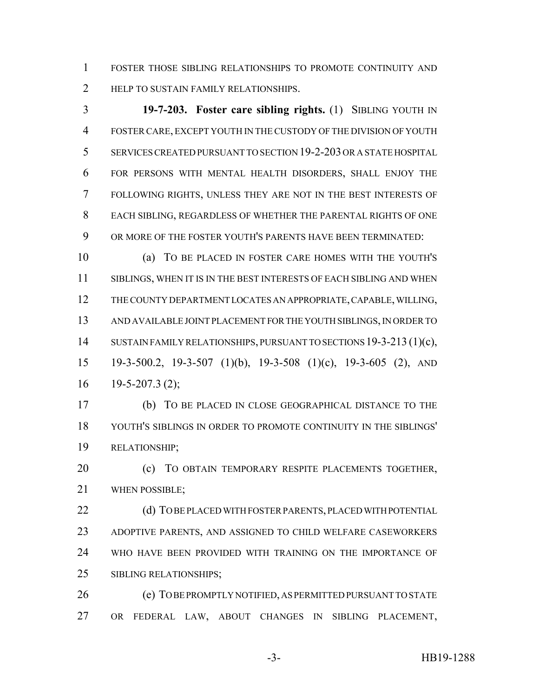FOSTER THOSE SIBLING RELATIONSHIPS TO PROMOTE CONTINUITY AND 2 HELP TO SUSTAIN FAMILY RELATIONSHIPS.

 **19-7-203. Foster care sibling rights.** (1) SIBLING YOUTH IN FOSTER CARE, EXCEPT YOUTH IN THE CUSTODY OF THE DIVISION OF YOUTH SERVICES CREATED PURSUANT TO SECTION 19-2-203 OR A STATE HOSPITAL FOR PERSONS WITH MENTAL HEALTH DISORDERS, SHALL ENJOY THE FOLLOWING RIGHTS, UNLESS THEY ARE NOT IN THE BEST INTERESTS OF EACH SIBLING, REGARDLESS OF WHETHER THE PARENTAL RIGHTS OF ONE OR MORE OF THE FOSTER YOUTH'S PARENTS HAVE BEEN TERMINATED:

 (a) TO BE PLACED IN FOSTER CARE HOMES WITH THE YOUTH'S 11 SIBLINGS, WHEN IT IS IN THE BEST INTERESTS OF EACH SIBLING AND WHEN THE COUNTY DEPARTMENT LOCATES AN APPROPRIATE, CAPABLE, WILLING, AND AVAILABLE JOINT PLACEMENT FOR THE YOUTH SIBLINGS, IN ORDER TO 14 SUSTAIN FAMILY RELATIONSHIPS, PURSUANT TO SECTIONS 19-3-213 (1)(c), 19-3-500.2, 19-3-507 (1)(b), 19-3-508 (1)(c), 19-3-605 (2), AND  $16 \quad 19 - 5 - 207.3 \tag{2}$ ;

 (b) TO BE PLACED IN CLOSE GEOGRAPHICAL DISTANCE TO THE YOUTH'S SIBLINGS IN ORDER TO PROMOTE CONTINUITY IN THE SIBLINGS' RELATIONSHIP;

 (c) TO OBTAIN TEMPORARY RESPITE PLACEMENTS TOGETHER, WHEN POSSIBLE;

22 (d) TO BE PLACED WITH FOSTER PARENTS, PLACED WITH POTENTIAL ADOPTIVE PARENTS, AND ASSIGNED TO CHILD WELFARE CASEWORKERS WHO HAVE BEEN PROVIDED WITH TRAINING ON THE IMPORTANCE OF SIBLING RELATIONSHIPS;

 (e) TO BE PROMPTLY NOTIFIED, AS PERMITTED PURSUANT TO STATE OR FEDERAL LAW, ABOUT CHANGES IN SIBLING PLACEMENT,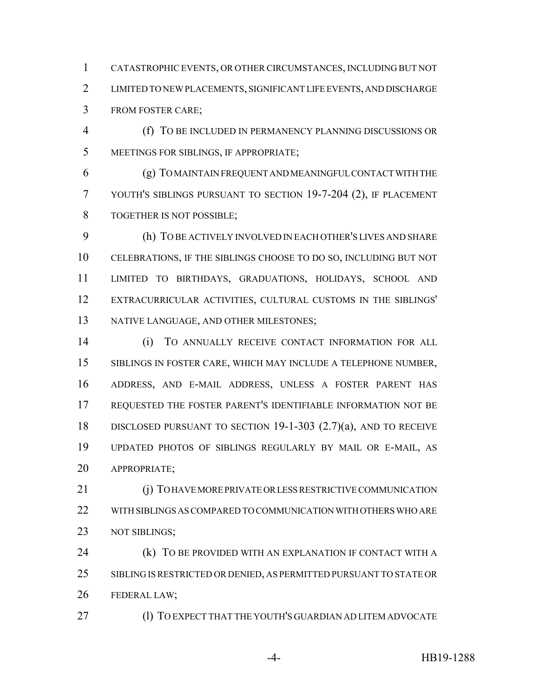CATASTROPHIC EVENTS, OR OTHER CIRCUMSTANCES, INCLUDING BUT NOT LIMITED TO NEW PLACEMENTS, SIGNIFICANT LIFE EVENTS, AND DISCHARGE FROM FOSTER CARE;

 (f) TO BE INCLUDED IN PERMANENCY PLANNING DISCUSSIONS OR MEETINGS FOR SIBLINGS, IF APPROPRIATE;

 (g) TO MAINTAIN FREQUENT AND MEANINGFUL CONTACT WITH THE YOUTH'S SIBLINGS PURSUANT TO SECTION 19-7-204 (2), IF PLACEMENT TOGETHER IS NOT POSSIBLE;

 (h) TO BE ACTIVELY INVOLVED IN EACH OTHER'S LIVES AND SHARE CELEBRATIONS, IF THE SIBLINGS CHOOSE TO DO SO, INCLUDING BUT NOT LIMITED TO BIRTHDAYS, GRADUATIONS, HOLIDAYS, SCHOOL AND EXTRACURRICULAR ACTIVITIES, CULTURAL CUSTOMS IN THE SIBLINGS' NATIVE LANGUAGE, AND OTHER MILESTONES;

 (i) TO ANNUALLY RECEIVE CONTACT INFORMATION FOR ALL SIBLINGS IN FOSTER CARE, WHICH MAY INCLUDE A TELEPHONE NUMBER, ADDRESS, AND E-MAIL ADDRESS, UNLESS A FOSTER PARENT HAS REQUESTED THE FOSTER PARENT'S IDENTIFIABLE INFORMATION NOT BE DISCLOSED PURSUANT TO SECTION 19-1-303 (2.7)(a), AND TO RECEIVE UPDATED PHOTOS OF SIBLINGS REGULARLY BY MAIL OR E-MAIL, AS APPROPRIATE;

 (j) TO HAVE MORE PRIVATE OR LESS RESTRICTIVE COMMUNICATION WITH SIBLINGS AS COMPARED TO COMMUNICATION WITH OTHERS WHO ARE 23 NOT SIBLINGS;

**(k) TO BE PROVIDED WITH AN EXPLANATION IF CONTACT WITH A**  SIBLING IS RESTRICTED OR DENIED, AS PERMITTED PURSUANT TO STATE OR FEDERAL LAW;

(l) TO EXPECT THAT THE YOUTH'S GUARDIAN AD LITEM ADVOCATE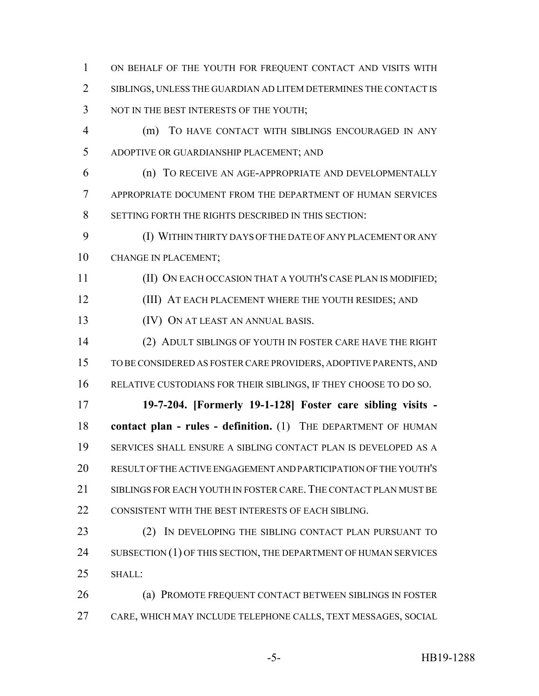ON BEHALF OF THE YOUTH FOR FREQUENT CONTACT AND VISITS WITH SIBLINGS, UNLESS THE GUARDIAN AD LITEM DETERMINES THE CONTACT IS 3 NOT IN THE BEST INTERESTS OF THE YOUTH;

 (m) TO HAVE CONTACT WITH SIBLINGS ENCOURAGED IN ANY ADOPTIVE OR GUARDIANSHIP PLACEMENT; AND

 (n) TO RECEIVE AN AGE-APPROPRIATE AND DEVELOPMENTALLY APPROPRIATE DOCUMENT FROM THE DEPARTMENT OF HUMAN SERVICES SETTING FORTH THE RIGHTS DESCRIBED IN THIS SECTION:

 (I) WITHIN THIRTY DAYS OF THE DATE OF ANY PLACEMENT OR ANY CHANGE IN PLACEMENT;

(II) ON EACH OCCASION THAT A YOUTH'S CASE PLAN IS MODIFIED;

12 (III) AT EACH PLACEMENT WHERE THE YOUTH RESIDES; AND

(IV) ON AT LEAST AN ANNUAL BASIS.

 (2) ADULT SIBLINGS OF YOUTH IN FOSTER CARE HAVE THE RIGHT TO BE CONSIDERED AS FOSTER CARE PROVIDERS, ADOPTIVE PARENTS, AND RELATIVE CUSTODIANS FOR THEIR SIBLINGS, IF THEY CHOOSE TO DO SO.

 **19-7-204. [Formerly 19-1-128] Foster care sibling visits - contact plan - rules - definition.** (1) THE DEPARTMENT OF HUMAN SERVICES SHALL ENSURE A SIBLING CONTACT PLAN IS DEVELOPED AS A RESULT OF THE ACTIVE ENGAGEMENT AND PARTICIPATION OF THE YOUTH'S SIBLINGS FOR EACH YOUTH IN FOSTER CARE.THE CONTACT PLAN MUST BE 22 CONSISTENT WITH THE BEST INTERESTS OF EACH SIBLING.

 (2) IN DEVELOPING THE SIBLING CONTACT PLAN PURSUANT TO 24 SUBSECTION (1) OF THIS SECTION, THE DEPARTMENT OF HUMAN SERVICES SHALL:

 (a) PROMOTE FREQUENT CONTACT BETWEEN SIBLINGS IN FOSTER CARE, WHICH MAY INCLUDE TELEPHONE CALLS, TEXT MESSAGES, SOCIAL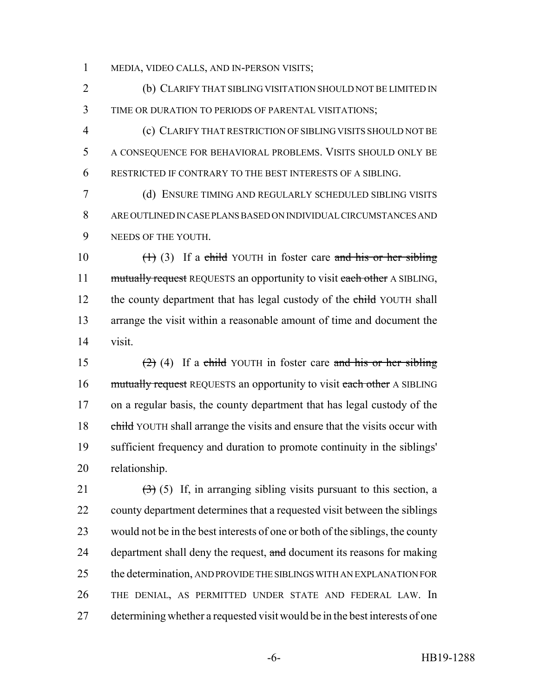MEDIA, VIDEO CALLS, AND IN-PERSON VISITS;

 (b) CLARIFY THAT SIBLING VISITATION SHOULD NOT BE LIMITED IN TIME OR DURATION TO PERIODS OF PARENTAL VISITATIONS;

 (c) CLARIFY THAT RESTRICTION OF SIBLING VISITS SHOULD NOT BE A CONSEQUENCE FOR BEHAVIORAL PROBLEMS. VISITS SHOULD ONLY BE RESTRICTED IF CONTRARY TO THE BEST INTERESTS OF A SIBLING.

 (d) ENSURE TIMING AND REGULARLY SCHEDULED SIBLING VISITS ARE OUTLINED IN CASE PLANS BASED ON INDIVIDUAL CIRCUMSTANCES AND NEEDS OF THE YOUTH.

10  $(1)$  (3) If a child YOUTH in foster care and his or her sibling 11 mutually request REQUESTS an opportunity to visit each other A SIBLING, 12 the county department that has legal custody of the child YOUTH shall arrange the visit within a reasonable amount of time and document the visit.

15 (2) (4) If a child YOUTH in foster care and his or her sibling 16 mutually request REQUESTS an opportunity to visit each other A SIBLING on a regular basis, the county department that has legal custody of the 18 child YOUTH shall arrange the visits and ensure that the visits occur with sufficient frequency and duration to promote continuity in the siblings' relationship.

 $(3)$  (5) If, in arranging sibling visits pursuant to this section, a county department determines that a requested visit between the siblings would not be in the best interests of one or both of the siblings, the county 24 department shall deny the request, and document its reasons for making 25 the determination, AND PROVIDE THE SIBLINGS WITH AN EXPLANATION FOR THE DENIAL, AS PERMITTED UNDER STATE AND FEDERAL LAW. In determining whether a requested visit would be in the best interests of one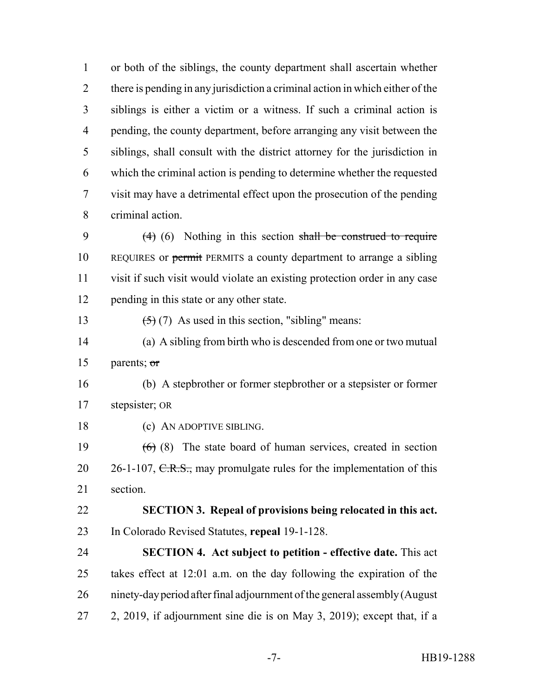or both of the siblings, the county department shall ascertain whether there is pending in any jurisdiction a criminal action in which either of the siblings is either a victim or a witness. If such a criminal action is pending, the county department, before arranging any visit between the siblings, shall consult with the district attorney for the jurisdiction in which the criminal action is pending to determine whether the requested visit may have a detrimental effect upon the prosecution of the pending criminal action.

9 (4) (6) Nothing in this section shall be construed to require 10 REQUIRES or permit PERMITS a county department to arrange a sibling visit if such visit would violate an existing protection order in any case pending in this state or any other state.

13  $(5)(7)$  As used in this section, "sibling" means:

 (a) A sibling from birth who is descended from one or two mutual parents; or

 (b) A stepbrother or former stepbrother or a stepsister or former stepsister; OR

18 (c) AN ADOPTIVE SIBLING.

19  $(6)$  (8) The state board of human services, created in section 20 26-1-107, C.R.S., may promulgate rules for the implementation of this section.

 **SECTION 3. Repeal of provisions being relocated in this act.** In Colorado Revised Statutes, **repeal** 19-1-128.

 **SECTION 4. Act subject to petition - effective date.** This act takes effect at 12:01 a.m. on the day following the expiration of the ninety-day period after final adjournment of the general assembly (August 2, 2019, if adjournment sine die is on May 3, 2019); except that, if a